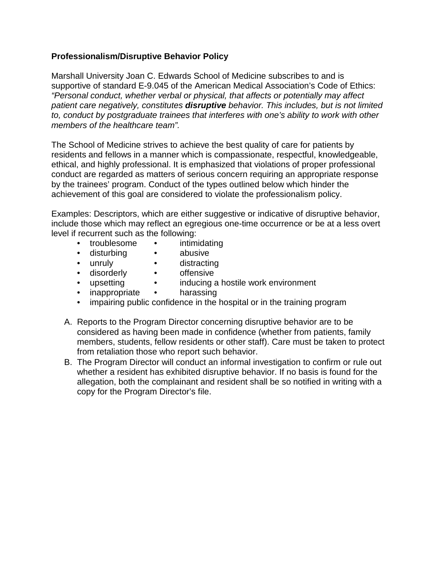## **Professionalism/Disruptive Behavior Policy**

Marshall University Joan C. Edwards School of Medicine subscribes to and is supportive of standard E-9.045 of the American Medical Association's Code of Ethics: *"Personal conduct, whether verbal or physical, that affects or potentially may affect patient care negatively, constitutes disruptive behavior. This includes, but is not limited to, conduct by postgraduate trainees that interferes with one's ability to work with other members of the healthcare team".* 

The School of Medicine strives to achieve the best quality of care for patients by residents and fellows in a manner which is compassionate, respectful, knowledgeable, ethical, and highly professional. It is emphasized that violations of proper professional conduct are regarded as matters of serious concern requiring an appropriate response by the trainees' program. Conduct of the types outlined below which hinder the achievement of this goal are considered to violate the professionalism policy.

Examples: Descriptors, which are either suggestive or indicative of disruptive behavior, include those which may reflect an egregious one-time occurrence or be at a less overt level if recurrent such as the following:

- troublesome intimidating
- disturbing abusive
- 
- unruly distracting
- 
- disorderly offensive
- 
- inducing a hostile work environment
- inappropriate harassing
- impairing public confidence in the hospital or in the training program
- A. Reports to the Program Director concerning disruptive behavior are to be considered as having been made in confidence (whether from patients, family members, students, fellow residents or other staff). Care must be taken to protect from retaliation those who report such behavior.
- B. The Program Director will conduct an informal investigation to confirm or rule out whether a resident has exhibited disruptive behavior. If no basis is found for the allegation, both the complainant and resident shall be so notified in writing with a copy for the Program Director's file.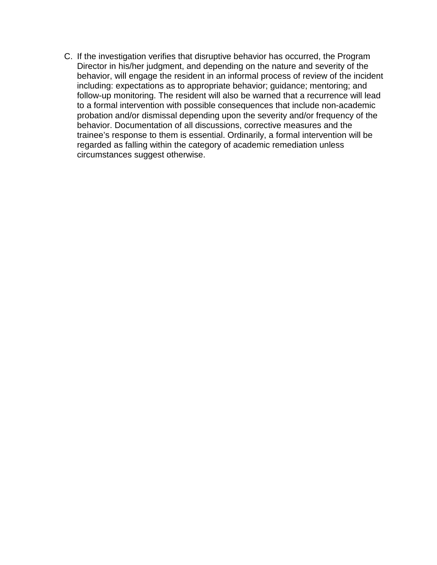C. If the investigation verifies that disruptive behavior has occurred, the Program Director in his/her judgment, and depending on the nature and severity of the behavior, will engage the resident in an informal process of review of the incident including: expectations as to appropriate behavior; guidance; mentoring; and follow-up monitoring. The resident will also be warned that a recurrence will lead to a formal intervention with possible consequences that include non-academic probation and/or dismissal depending upon the severity and/or frequency of the behavior. Documentation of all discussions, corrective measures and the trainee's response to them is essential. Ordinarily, a formal intervention will be regarded as falling within the category of academic remediation unless circumstances suggest otherwise.